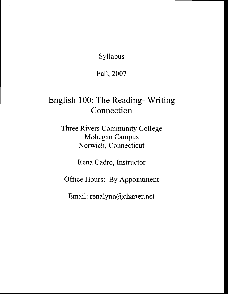Syllabus

 $\ddot{\phantom{0}}$ 

Fall,2007

# English 100: The Reading- Writing Connection

Three Rivers Community College Mohegan Campus Norwich, Connecticut

Rena Cadro, Instructor

Office Hours: By Appointment

Email: renalynn@charter.net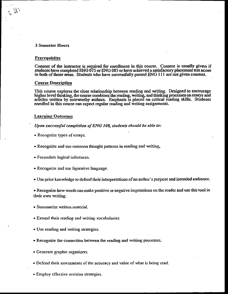# **3 Semester Hours**

#### Prerequisites

Consent of the instructor is required for enrollment in this course. Consent is usually given if students have completed ENG 075 or ENG 085 or have achieved a satisfactory placement test score in both of those areas. Students who have successfully passed ENG 111 are not given consent.

#### **Course Description**

This course explores the close relationship between reading and writing. Designed to encourage higher level thinking, the course combines the reading, writing, and thinking processes on essays and articles written by noteworthy authors. Emphasis is placed on critical reading skills. Students enrolled in this course can expect regular reading and writing assignments.

# **Learning Outcomes**

- Upon successful completion of ENG 108, students should be able to:
- Recognize types of essays.
- Recognize and use common thought patterns in reading and writing,
- Formulate logical inferences.
- Recognize and use figurative language.
- Use prior knowledge to defend their interpretations of an author's purpose and intended audience.

• Recognize how words can make positive or negative impressions on the reader and use this tool in their own writing.

- Summarize written material.
- Extend their reading and writing vocabularies.
- Use reading and writing strategies.
- Recognize the connection between the reading and writing processes.
- Generate graphic organizers.
- Defend their assessments of the accuracy and value of what is being read.
- Employ effective revision strategies.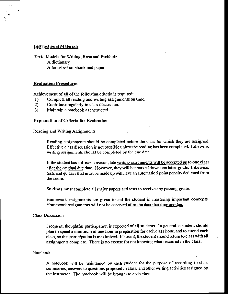#### Instructional Materials

Text: Models for Writing, Rosa and Eschholz A dictionary A looseleaf notebook and paper

#### Evaluation Procedures

Achievement of all of the following criteria is rcquired:

- 1) Complete all reading and writing assignments on time.<br>2) Contribute regularly to class discussion.
- 2) Contribute regularly to class discussion.
- 3) Maintain a notebook as instructed.

#### Explanation of Criteria for Evaluation

Reading and Writing Assignments

Reading assignments should be completed before the class for which they are assigned. Effective class discussion is not possible unless the reading has been completed. Likewise. writing assignments should be completed by the due date.

If the student has sufficient reason, late writing assignments will be accepted up to one class after the original due date. However, they will be marked down one letter grade. Likewise, tests and quizzes that must be made up will have an automatic 5 point penalty deducted from the score.

Students must complete all major papers and tests to receive any passing grade.

Homework assignments are given to aid the student in mastering important concepts. Homework assignments will not be accepted after the date that they are due.

Class Discussion

Frequent, thoughtful participation is expected of all students. In general, a student should plan to spend a minimum of one hour in preparation for each class hour, and to attend each class, so that participation is maximized. If absent, the student should return to class with all assignments complete. There is no excuse for not knowing what occurred in the class.

## Notebook

A notebook will be maintained by each student for the purpose of recording in-class summaries, answers to questions proposed in class, and other writing activities assigned by the instructor. The notebook will be brought to each class.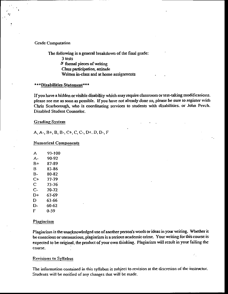#### **Grade Computation**

The following is a general breakdown of the final grade: 3 tests  $\delta$  formal pieces of writing Class participation, attitude Written in-class and at home assignments

## \*\*\*Disabilities Statement\*\*\*

If you have a hidden or visible disability which may require classroom or test-taking modifications. please see me as soon as possible. If you have not already done so, please be sure to register with Chris Scarborough, who is coordinating services to students with disabilities. or John Perch. Disabled Student Counselor.

#### **Grading System**

A, A-, B+, B, B-, C+, C, C-, D+, D, D-, F

# **Numerical Components**

| А  | 93-100 |
|----|--------|
| А- | 90-92  |
| B+ | 87-89  |
| в  | 83-86  |
| B- | 80-82  |
| C+ | 77-79  |
| C  | 73-76  |
| C- | 70-72  |
| D+ | 67-69  |
| D  | 63-66  |
| D- | 60-62  |
| F  | 0-59   |

#### Plagiarism

Plagiarism is the unacknowledged use of another person's words or ideas in your writing. Whether it be conscious or unconscious, plagiarism is a serious academic crime. Your writing for this course is expected to be original, the product of your own thinking. Plagiarism will result in your failing the course.

# Revisions to Syllabus

The information contained in this syllabus is subject to revision at the discretion of the instructor. Students will be notified of any changes that will be made.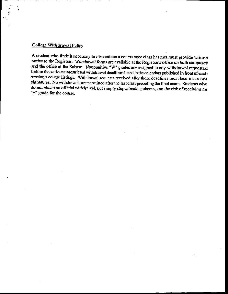# College Withdrawal Policv

A student who finds it necessary to discontinue a course once class has met must provide written notice to the Registrar. Withdrawal forms are available at the Registrar's office on both campuses and the office at the Subase. Nonpunitive "W" grades are assigned to any withdrawal requested before the various unrestricted withdrawal deadlines listed in the calendars published in front of each session's course listings. Withdrawal requests received after these deadlines must bear instructor signatures. No withdrawals are permitted after the last class preceding the final exam. Students who do not obtain an official withdrawal, but simply stop attending classes, run rhe risk of receiving an "F" grade for the course.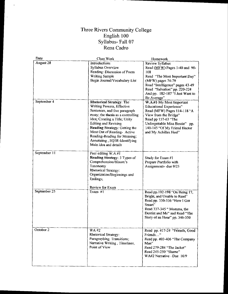# Three Rivers Community College<br>English 100<br>Syllabus- Fall 07<br>Rena Cadro

| Date         | Class Work                                                                                                                                                                                                                                                                                                                                             | Homework                                                                                                                                                                                                                             |
|--------------|--------------------------------------------------------------------------------------------------------------------------------------------------------------------------------------------------------------------------------------------------------------------------------------------------------------------------------------------------------|--------------------------------------------------------------------------------------------------------------------------------------------------------------------------------------------------------------------------------------|
| August 28    | <b>Introductions</b><br>Syllabus Overview<br>Reading: Discussion of Poem<br><b>Writing Sample</b><br>Begin Journal/Vocabulary List                                                                                                                                                                                                                     | Review Syllabus<br>Read (MFW) Pages 1-40 and 90-<br>108<br>Read "The Most Important Day"<br>(MFW) pages 74-79<br>Read "Intelligence" pages 43-49<br>Read "Salvation" pp. 220-224<br>And pp. 182-187 "I Just Want to<br>Be Average"   |
| September 4  | <b>Rhetorical Strategy: The</b><br>Writing Process, Effective<br>Sentences, and five paragraph<br>essay; the thesis as a controlling<br>idea; Creating a Title; Unity<br>Editing and Revising<br>Reading Strategy: Getting the<br>Most Out of Reading- Active<br>Reading-Reading for Meaning;<br>Annotating, SQ3R-Identifying<br>Main idea and details | W.A.#1-My Most Important<br><b>Educational Experience"</b><br>Read (MFW) Pages 114-118 "A<br>View from the Bridge"<br>Read pp 157-63 "The<br>Unforgettable Miss Bessie" pp.<br>140-145 "Of My Friend Hector<br>and My Achilles Heel" |
| September 11 | Peer editing W,A.#1<br>Reading Strategy: 3 Types of<br>Comprehension/Bloom's<br>Taxonomy<br><b>Rhetorical Strategy:</b><br>Organization/Beginnings and<br>Endings;<br>Review for Exam                                                                                                                                                                  | Study for Exam #1<br>Prepare Portfolio with<br>Assignments- due 9/25                                                                                                                                                                 |
| September 25 | Exam $#1$                                                                                                                                                                                                                                                                                                                                              | Read pp.192-198 "On Being 17,<br>Bright, and Unable to Read"<br>Read pp. 330-336 "How I Got<br>Smart"<br>Read 337-345 " Momma, the<br>Dentist and Me" and Read "The<br>Story of an Hour" pp. 346-350                                 |
| October 2    | WA #2<br>Rhetorical Strategy:<br>Paragraphing. Transitions;<br>Narrative Writing, Timelines,<br>Point of View                                                                                                                                                                                                                                          | Read pp. 417-24 "Friends, Good<br>Friends"<br>Read pp. 403-406 "The Company<br>Man"<br>Read 279-284 "The Jacket"<br>Read 245-250 "Shame"<br>WA#2 Narrative $-Due$ 10/9                                                               |